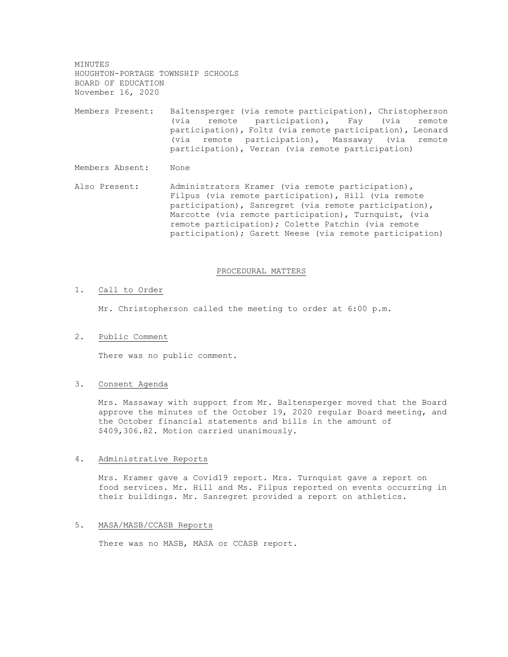MINUTES HOUGHTON-PORTAGE TOWNSHIP SCHOOLS BOARD OF EDUCATION November 16, 2020

Members Present: Baltensperger (via remote participation), Christopherson (via remote participation), Fay (via remote participation), Foltz (via remote participation), Leonard (via remote participation), Massaway (via remote participation), Verran (via remote participation)

Members Absent: None

Also Present: Administrators Kramer (via remote participation), Filpus (via remote participation), Hill (via remote participation), Sanregret (via remote participation), Marcotte (via remote participation), Turnquist, (via remote participation); Colette Patchin (via remote participation); Garett Neese (via remote participation)

#### PROCEDURAL MATTERS

#### 1. Call to Order

Mr. Christopherson called the meeting to order at 6:00 p.m.

#### 2. Public Comment

There was no public comment.

### 3. Consent Agenda

Mrs. Massaway with support from Mr. Baltensperger moved that the Board approve the minutes of the October 19, 2020 regular Board meeting, and the October financial statements and bills in the amount of \$409,306.82. Motion carried unanimously.

#### 4. Administrative Reports

Mrs. Kramer gave a Covid19 report. Mrs. Turnquist gave a report on food services. Mr. Hill and Ms. Filpus reported on events occurring in their buildings. Mr. Sanregret provided a report on athletics.

# 5. MASA/MASB/CCASB Reports

There was no MASB, MASA or CCASB report.